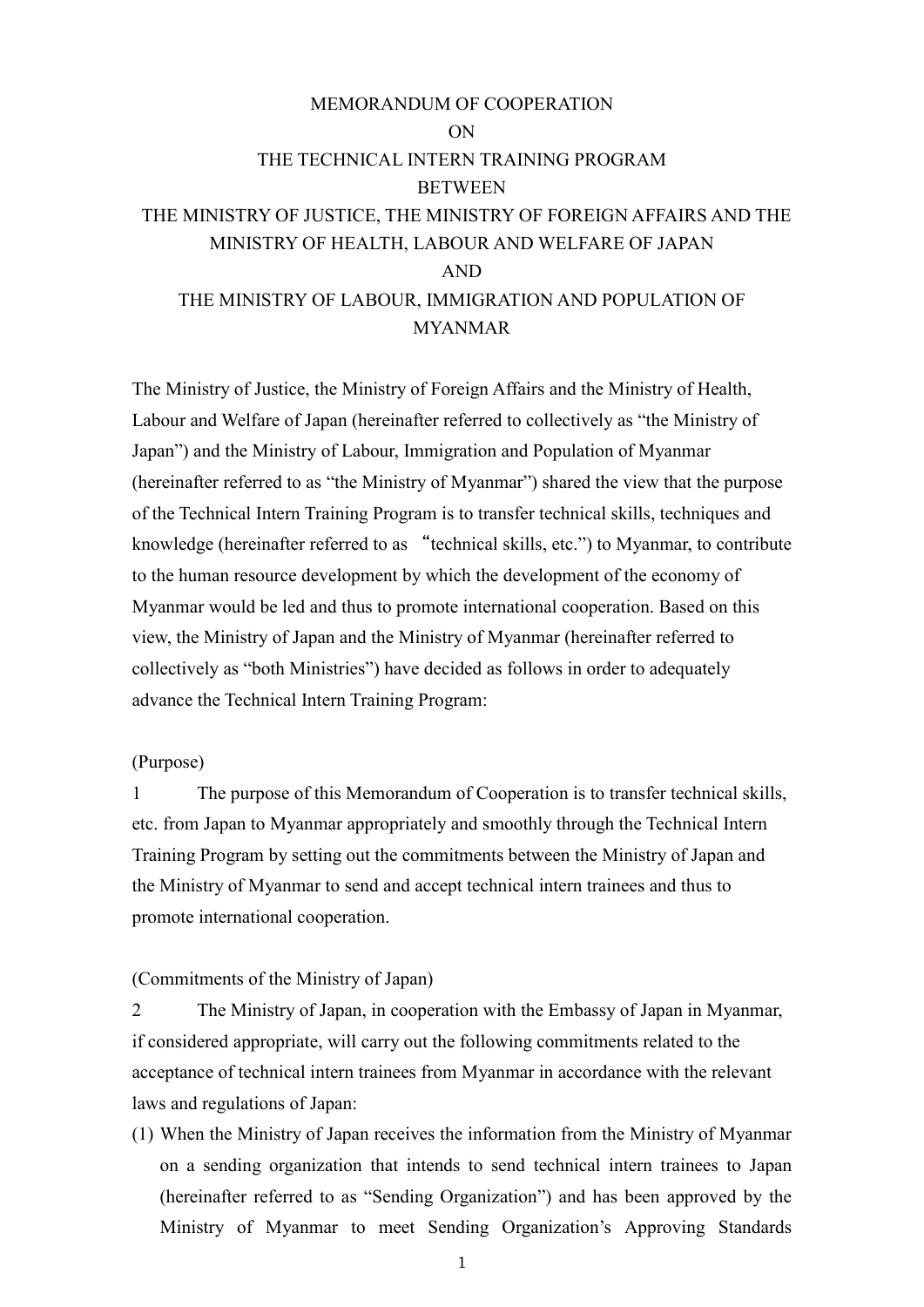# MEMORANDUM OF COOPERATION ON THE TECHNICAL INTERN TRAINING PROGRAM **BETWEEN** THE MINISTRY OF JUSTICE, THE MINISTRY OF FOREIGN AFFAIRS AND THE MINISTRY OF HEALTH, LABOUR AND WELFARE OF JAPAN AND THE MINISTRY OF LABOUR, IMMIGRATION AND POPULATION OF MYANMAR

The Ministry of Justice, the Ministry of Foreign Affairs and the Ministry of Health, Labour and Welfare of Japan (hereinafter referred to collectively as "the Ministry of Japan") and the Ministry of Labour, Immigration and Population of Myanmar (hereinafter referred to as "the Ministry of Myanmar") shared the view that the purpose of the Technical Intern Training Program is to transfer technical skills, techniques and knowledge (hereinafter referred to as "technical skills, etc.") to Myanmar, to contribute to the human resource development by which the development of the economy of Myanmar would be led and thus to promote international cooperation. Based on this view, the Ministry of Japan and the Ministry of Myanmar (hereinafter referred to collectively as "both Ministries") have decided as follows in order to adequately advance the Technical Intern Training Program:

### (Purpose)

1 The purpose of this Memorandum of Cooperation is to transfer technical skills, etc. from Japan to Myanmar appropriately and smoothly through the Technical Intern Training Program by setting out the commitments between the Ministry of Japan and the Ministry of Myanmar to send and accept technical intern trainees and thus to promote international cooperation.

#### (Commitments of the Ministry of Japan)

2 The Ministry of Japan, in cooperation with the Embassy of Japan in Myanmar, if considered appropriate, will carry out the following commitments related to the acceptance of technical intern trainees from Myanmar in accordance with the relevant laws and regulations of Japan:

(1) When the Ministry of Japan receives the information from the Ministry of Myanmar on a sending organization that intends to send technical intern trainees to Japan (hereinafter referred to as "Sending Organization") and has been approved by the Ministry of Myanmar to meet Sending Organization's Approving Standards

1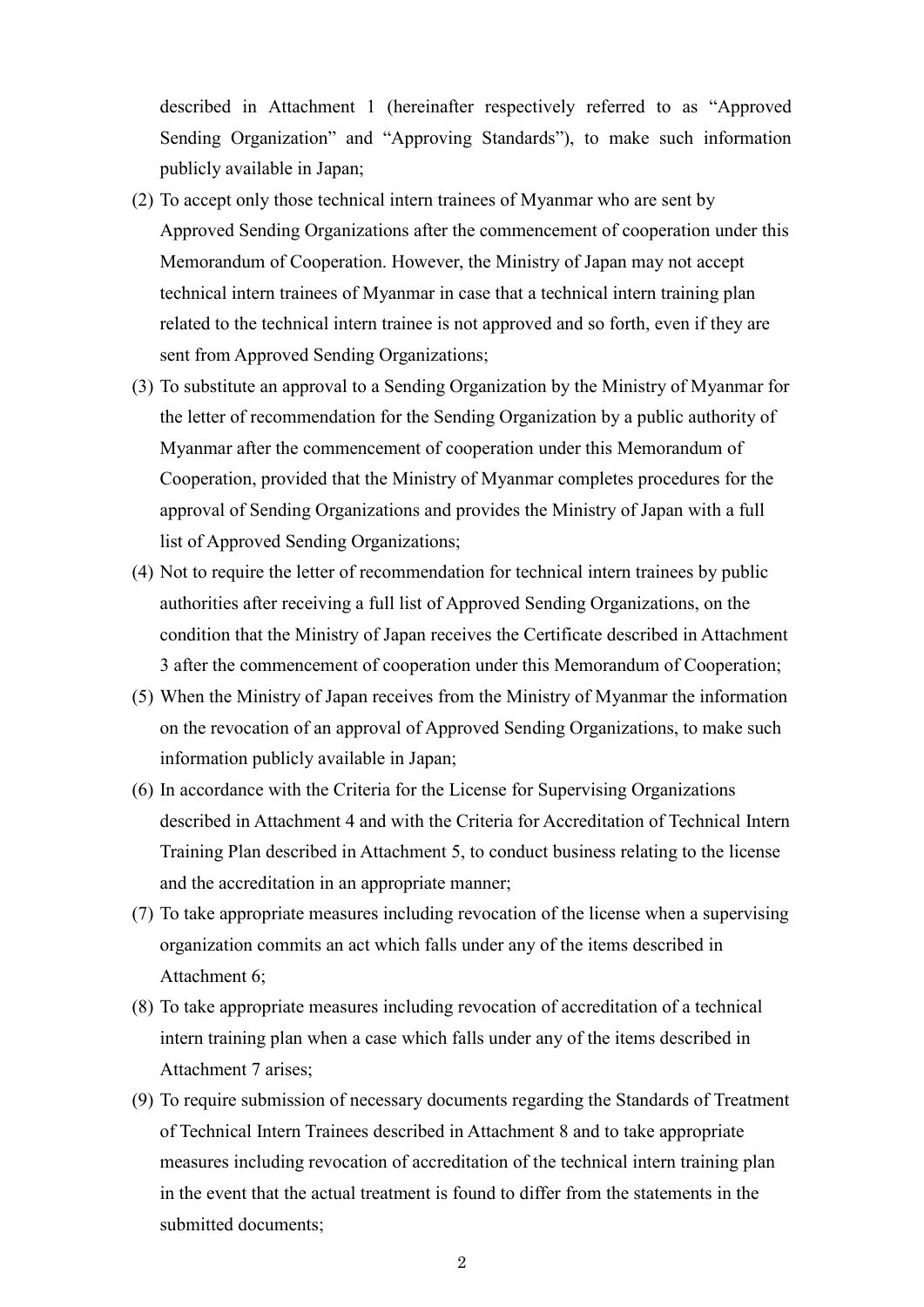described in Attachment 1 (hereinafter respectively referred to as "Approved Sending Organization" and "Approving Standards"), to make such information publicly available in Japan;

- (2) To accept only those technical intern trainees of Myanmar who are sent by Approved Sending Organizations after the commencement of cooperation under this Memorandum of Cooperation. However, the Ministry of Japan may not accept technical intern trainees of Myanmar in case that a technical intern training plan related to the technical intern trainee is not approved and so forth, even if they are sent from Approved Sending Organizations;
- (3) To substitute an approval to a Sending Organization by the Ministry of Myanmar for the letter of recommendation for the Sending Organization by a public authority of Myanmar after the commencement of cooperation under this Memorandum of Cooperation, provided that the Ministry of Myanmar completes procedures for the approval of Sending Organizations and provides the Ministry of Japan with a full list of Approved Sending Organizations;
- (4) Not to require the letter of recommendation for technical intern trainees by public authorities after receiving a full list of Approved Sending Organizations, on the condition that the Ministry of Japan receives the Certificate described in Attachment 3 after the commencement of cooperation under this Memorandum of Cooperation;
- (5) When the Ministry of Japan receives from the Ministry of Myanmar the information on the revocation of an approval of Approved Sending Organizations, to make such information publicly available in Japan;
- (6) In accordance with the Criteria for the License for Supervising Organizations described in Attachment 4 and with the Criteria for Accreditation of Technical Intern Training Plan described in Attachment 5, to conduct business relating to the license and the accreditation in an appropriate manner;
- (7) To take appropriate measures including revocation of the license when a supervising organization commits an act which falls under any of the items described in Attachment 6;
- (8) To take appropriate measures including revocation of accreditation of a technical intern training plan when a case which falls under any of the items described in Attachment 7 arises;
- (9) To require submission of necessary documents regarding the Standards of Treatment of Technical Intern Trainees described in Attachment 8 and to take appropriate measures including revocation of accreditation of the technical intern training plan in the event that the actual treatment is found to differ from the statements in the submitted documents: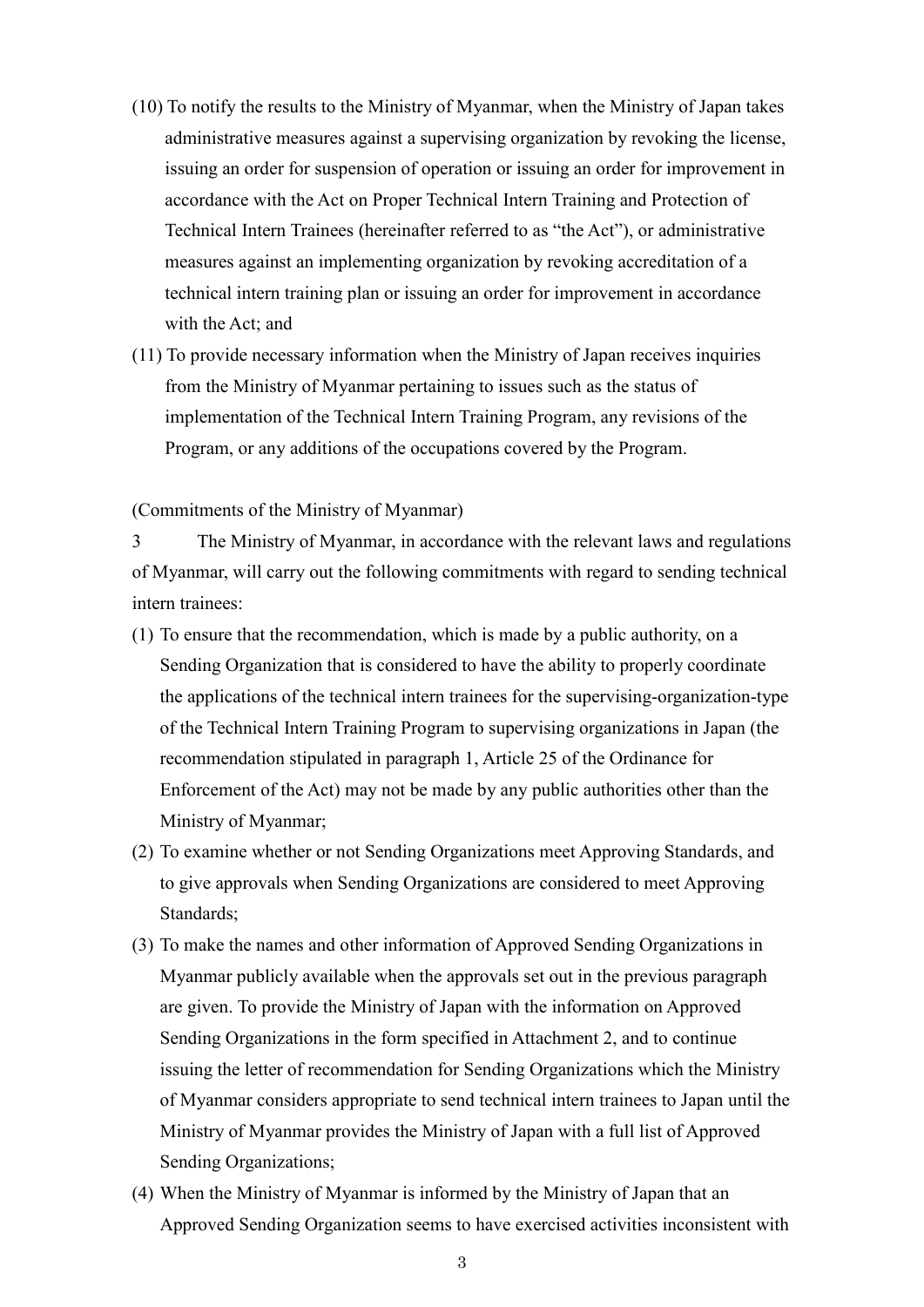- (10) To notify the results to the Ministry of Myanmar, when the Ministry of Japan takes administrative measures against a supervising organization by revoking the license, issuing an order for suspension of operation or issuing an order for improvement in accordance with the Act on Proper Technical Intern Training and Protection of Technical Intern Trainees (hereinafter referred to as "the Act"), or administrative measures against an implementing organization by revoking accreditation of a technical intern training plan or issuing an order for improvement in accordance with the Act; and
- (11) To provide necessary information when the Ministry of Japan receives inquiries from the Ministry of Myanmar pertaining to issues such as the status of implementation of the Technical Intern Training Program, any revisions of the Program, or any additions of the occupations covered by the Program.

#### (Commitments of the Ministry of Myanmar)

3 The Ministry of Myanmar, in accordance with the relevant laws and regulations of Myanmar, will carry out the following commitments with regard to sending technical intern trainees:

- (1) To ensure that the recommendation, which is made by a public authority, on a Sending Organization that is considered to have the ability to properly coordinate the applications of the technical intern trainees for the supervising-organization-type of the Technical Intern Training Program to supervising organizations in Japan (the recommendation stipulated in paragraph 1, Article 25 of the Ordinance for Enforcement of the Act) may not be made by any public authorities other than the Ministry of Myanmar;
- (2) To examine whether or not Sending Organizations meet Approving Standards, and to give approvals when Sending Organizations are considered to meet Approving Standards;
- (3) To make the names and other information of Approved Sending Organizations in Myanmar publicly available when the approvals set out in the previous paragraph are given. To provide the Ministry of Japan with the information on Approved Sending Organizations in the form specified in Attachment 2, and to continue issuing the letter of recommendation for Sending Organizations which the Ministry of Myanmar considers appropriate to send technical intern trainees to Japan until the Ministry of Myanmar provides the Ministry of Japan with a full list of Approved Sending Organizations;
- (4) When the Ministry of Myanmar is informed by the Ministry of Japan that an Approved Sending Organization seems to have exercised activities inconsistent with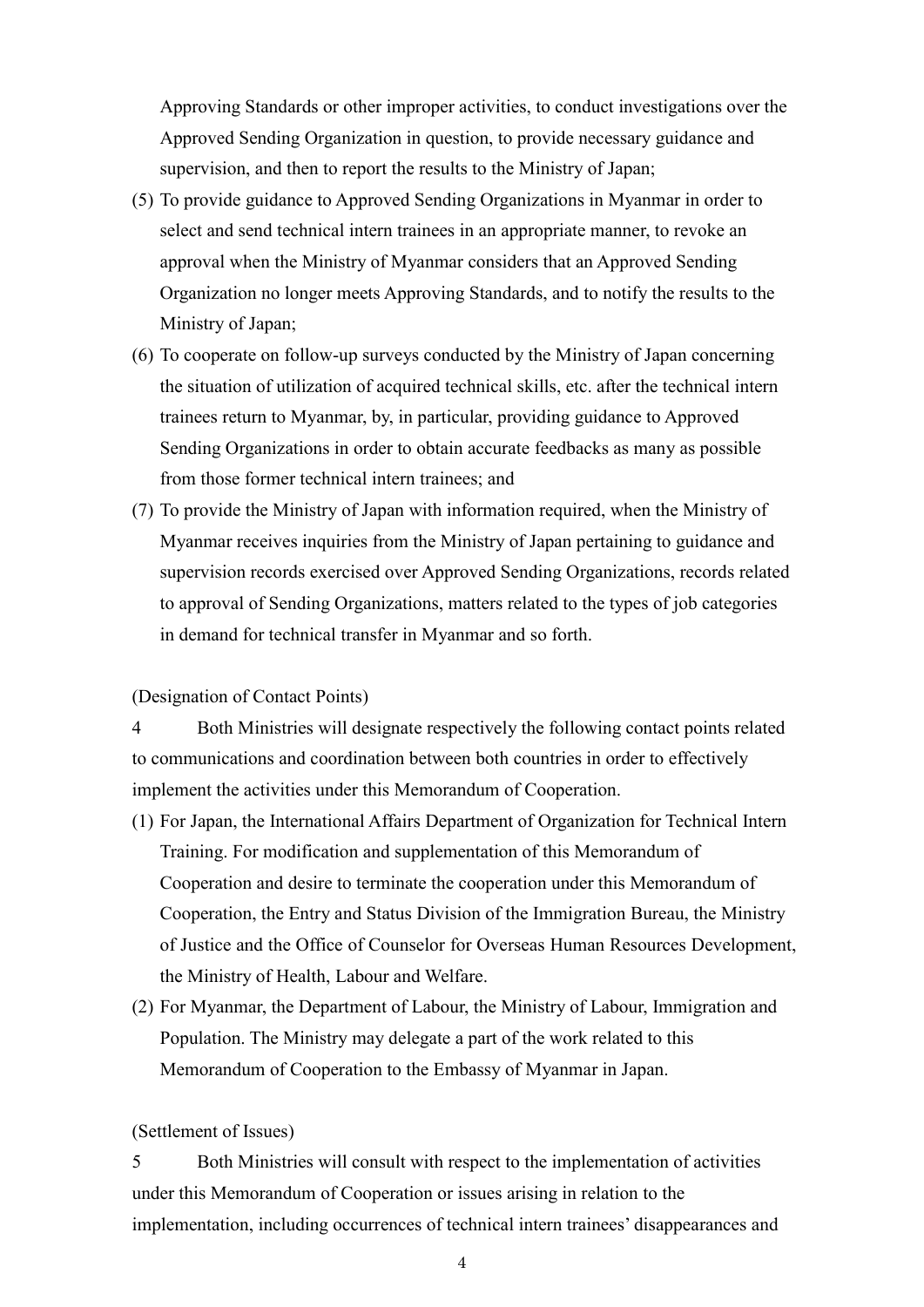Approving Standards or other improper activities, to conduct investigations over the Approved Sending Organization in question, to provide necessary guidance and supervision, and then to report the results to the Ministry of Japan;

- (5) To provide guidance to Approved Sending Organizations in Myanmar in order to select and send technical intern trainees in an appropriate manner, to revoke an approval when the Ministry of Myanmar considers that an Approved Sending Organization no longer meets Approving Standards, and to notify the results to the Ministry of Japan;
- (6) To cooperate on follow-up surveys conducted by the Ministry of Japan concerning the situation of utilization of acquired technical skills, etc. after the technical intern trainees return to Myanmar, by, in particular, providing guidance to Approved Sending Organizations in order to obtain accurate feedbacks as many as possible from those former technical intern trainees; and
- (7) To provide the Ministry of Japan with information required, when the Ministry of Myanmar receives inquiries from the Ministry of Japan pertaining to guidance and supervision records exercised over Approved Sending Organizations, records related to approval of Sending Organizations, matters related to the types of job categories in demand for technical transfer in Myanmar and so forth.

#### (Designation of Contact Points)

4 Both Ministries will designate respectively the following contact points related to communications and coordination between both countries in order to effectively implement the activities under this Memorandum of Cooperation.

- (1) For Japan, the International Affairs Department of Organization for Technical Intern Training. For modification and supplementation of this Memorandum of Cooperation and desire to terminate the cooperation under this Memorandum of Cooperation, the Entry and Status Division of the Immigration Bureau, the Ministry of Justice and the Office of Counselor for Overseas Human Resources Development, the Ministry of Health, Labour and Welfare.
- (2) For Myanmar, the Department of Labour, the Ministry of Labour, Immigration and Population. The Ministry may delegate a part of the work related to this Memorandum of Cooperation to the Embassy of Myanmar in Japan.

#### (Settlement of Issues)

5 Both Ministries will consult with respect to the implementation of activities under this Memorandum of Cooperation or issues arising in relation to the implementation, including occurrences of technical intern trainees' disappearances and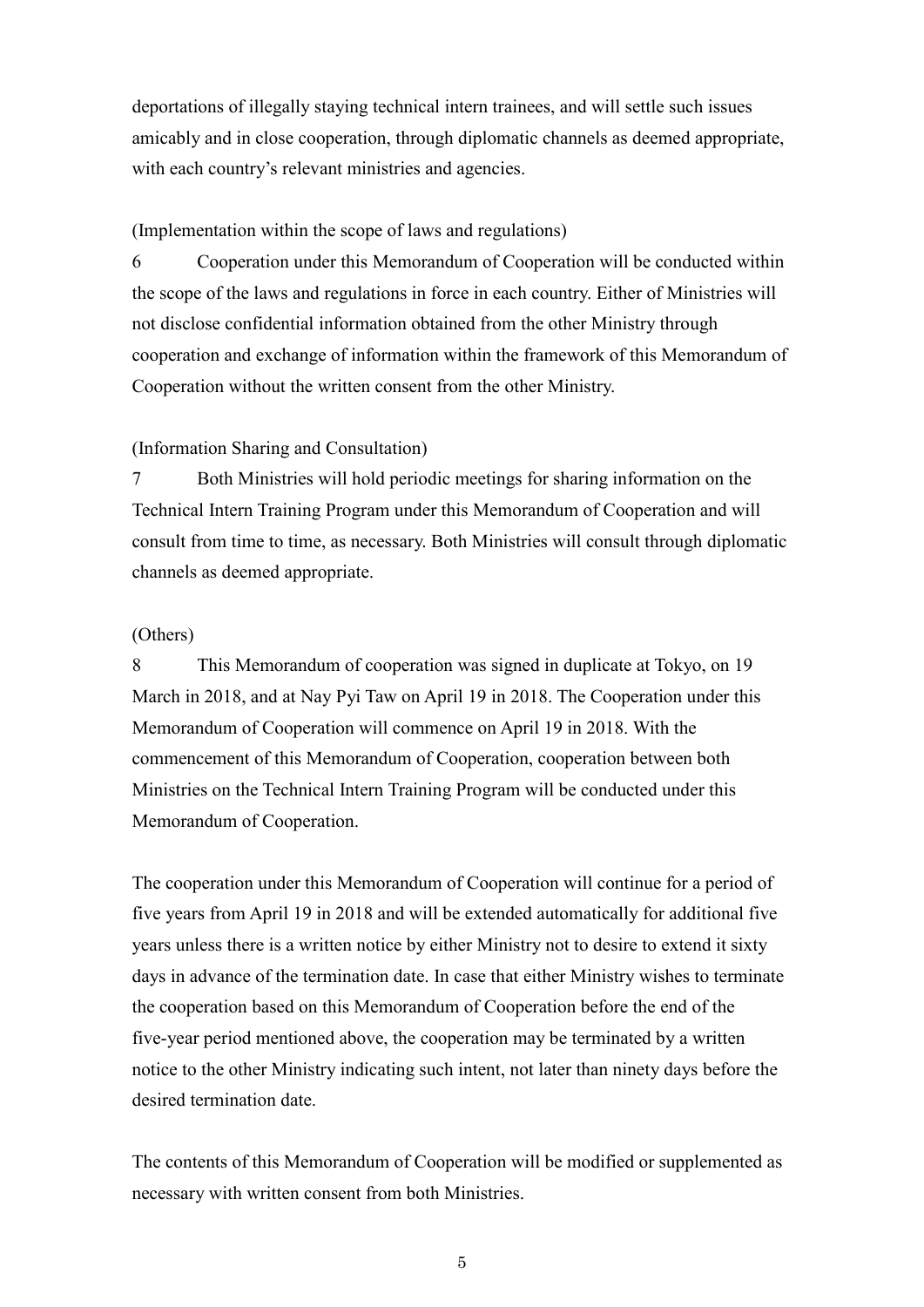deportations of illegally staying technical intern trainees, and will settle such issues amicably and in close cooperation, through diplomatic channels as deemed appropriate, with each country's relevant ministries and agencies.

# (Implementation within the scope of laws and regulations)

6 Cooperation under this Memorandum of Cooperation will be conducted within the scope of the laws and regulations in force in each country. Either of Ministries will not disclose confidential information obtained from the other Ministry through cooperation and exchange of information within the framework of this Memorandum of Cooperation without the written consent from the other Ministry.

### (Information Sharing and Consultation)

7 Both Ministries will hold periodic meetings for sharing information on the Technical Intern Training Program under this Memorandum of Cooperation and will consult from time to time, as necessary. Both Ministries will consult through diplomatic channels as deemed appropriate.

# (Others)

8 This Memorandum of cooperation was signed in duplicate at Tokyo, on 19 March in 2018, and at Nay Pyi Taw on April 19 in 2018. The Cooperation under this Memorandum of Cooperation will commence on April 19 in 2018. With the commencement of this Memorandum of Cooperation, cooperation between both Ministries on the Technical Intern Training Program will be conducted under this Memorandum of Cooperation.

The cooperation under this Memorandum of Cooperation will continue for a period of five years from April 19 in 2018 and will be extended automatically for additional five years unless there is a written notice by either Ministry not to desire to extend it sixty days in advance of the termination date. In case that either Ministry wishes to terminate the cooperation based on this Memorandum of Cooperation before the end of the five-year period mentioned above, the cooperation may be terminated by a written notice to the other Ministry indicating such intent, not later than ninety days before the desired termination date

The contents of this Memorandum of Cooperation will be modified or supplemented as necessary with written consent from both Ministries.

5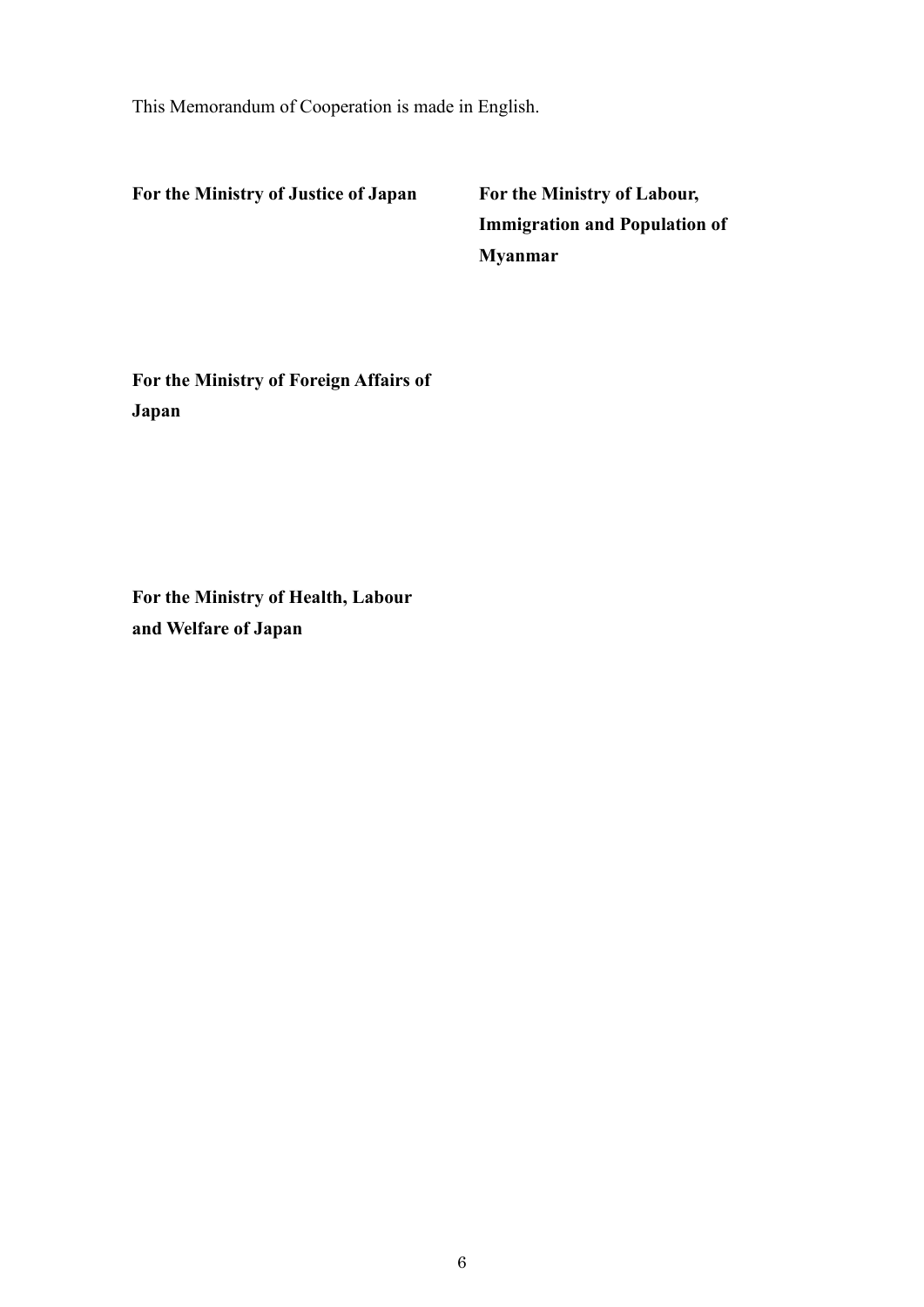This Memorandum of Cooperation is made in English.

**For the Ministry of Justice of Japan For the Ministry of Labour,**

**Immigration and Population of Myanmar**

**For the Ministry of Foreign Affairs of Japan**

**For the Ministry of Health, Labour and Welfare of Japan**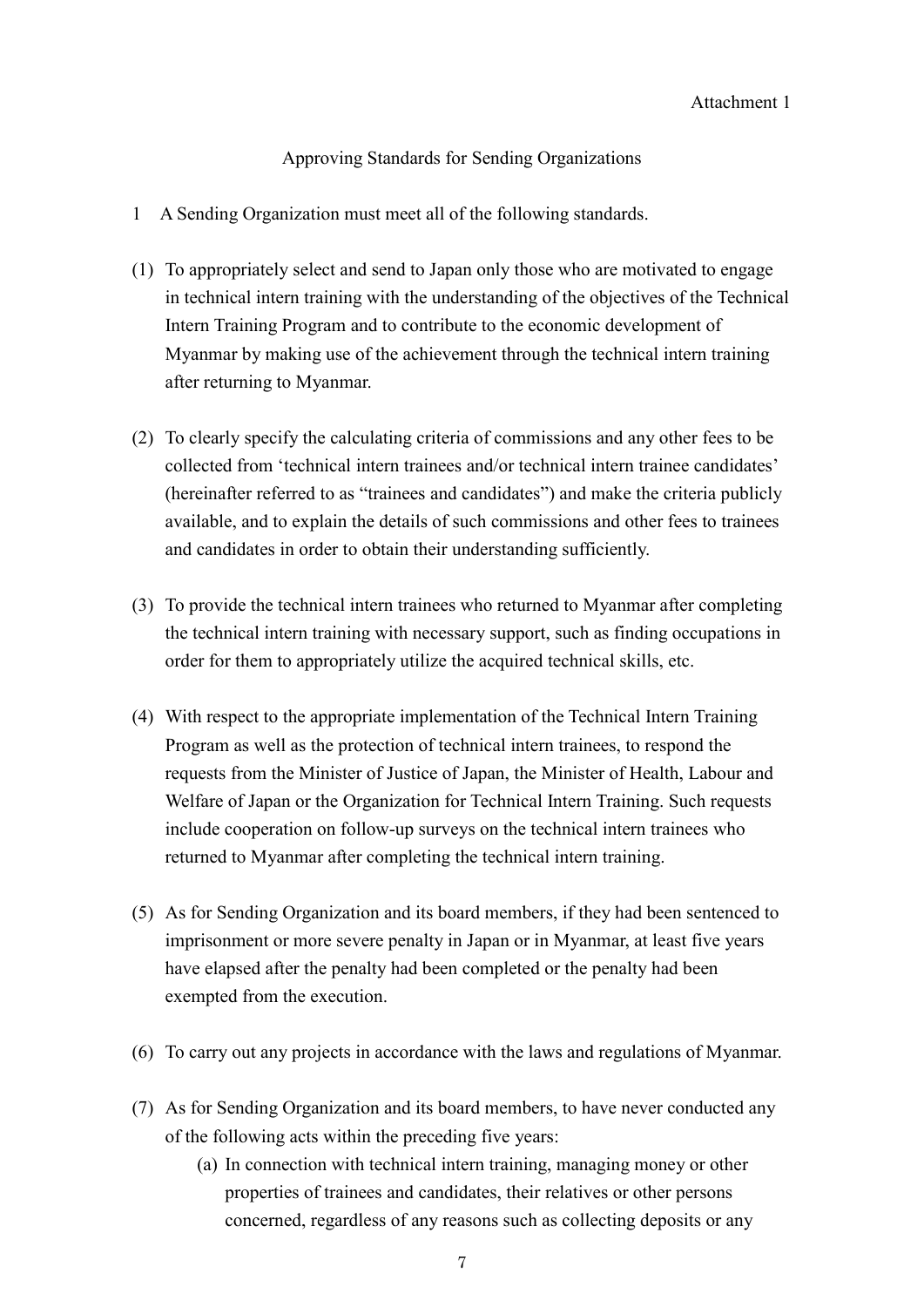Approving Standards for Sending Organizations

- 1 A Sending Organization must meet all of the following standards.
- (1) To appropriately select and send to Japan only those who are motivated to engage in technical intern training with the understanding of the objectives of the Technical Intern Training Program and to contribute to the economic development of Myanmar by making use of the achievement through the technical intern training after returning to Myanmar.
- (2) To clearly specify the calculating criteria of commissions and any other fees to be collected from 'technical intern trainees and/or technical intern trainee candidates' (hereinafter referred to as "trainees and candidates") and make the criteria publicly available, and to explain the details of such commissions and other fees to trainees and candidates in order to obtain their understanding sufficiently.
- (3) To provide the technical intern trainees who returned to Myanmar after completing the technical intern training with necessary support, such as finding occupations in order for them to appropriately utilize the acquired technical skills, etc.
- (4) With respect to the appropriate implementation of the Technical Intern Training Program as well as the protection of technical intern trainees, to respond the requests from the Minister of Justice of Japan, the Minister of Health, Labour and Welfare of Japan or the Organization for Technical Intern Training. Such requests include cooperation on follow-up surveys on the technical intern trainees who returned to Myanmar after completing the technical intern training.
- (5) As for Sending Organization and its board members, if they had been sentenced to imprisonment or more severe penalty in Japan or in Myanmar, at least five years have elapsed after the penalty had been completed or the penalty had been exempted from the execution.
- (6) To carry out any projects in accordance with the laws and regulations of Myanmar.
- (7) As for Sending Organization and its board members, to have never conducted any of the following acts within the preceding five years:
	- (a) In connection with technical intern training, managing money or other properties of trainees and candidates, their relatives or other persons concerned, regardless of any reasons such as collecting deposits or any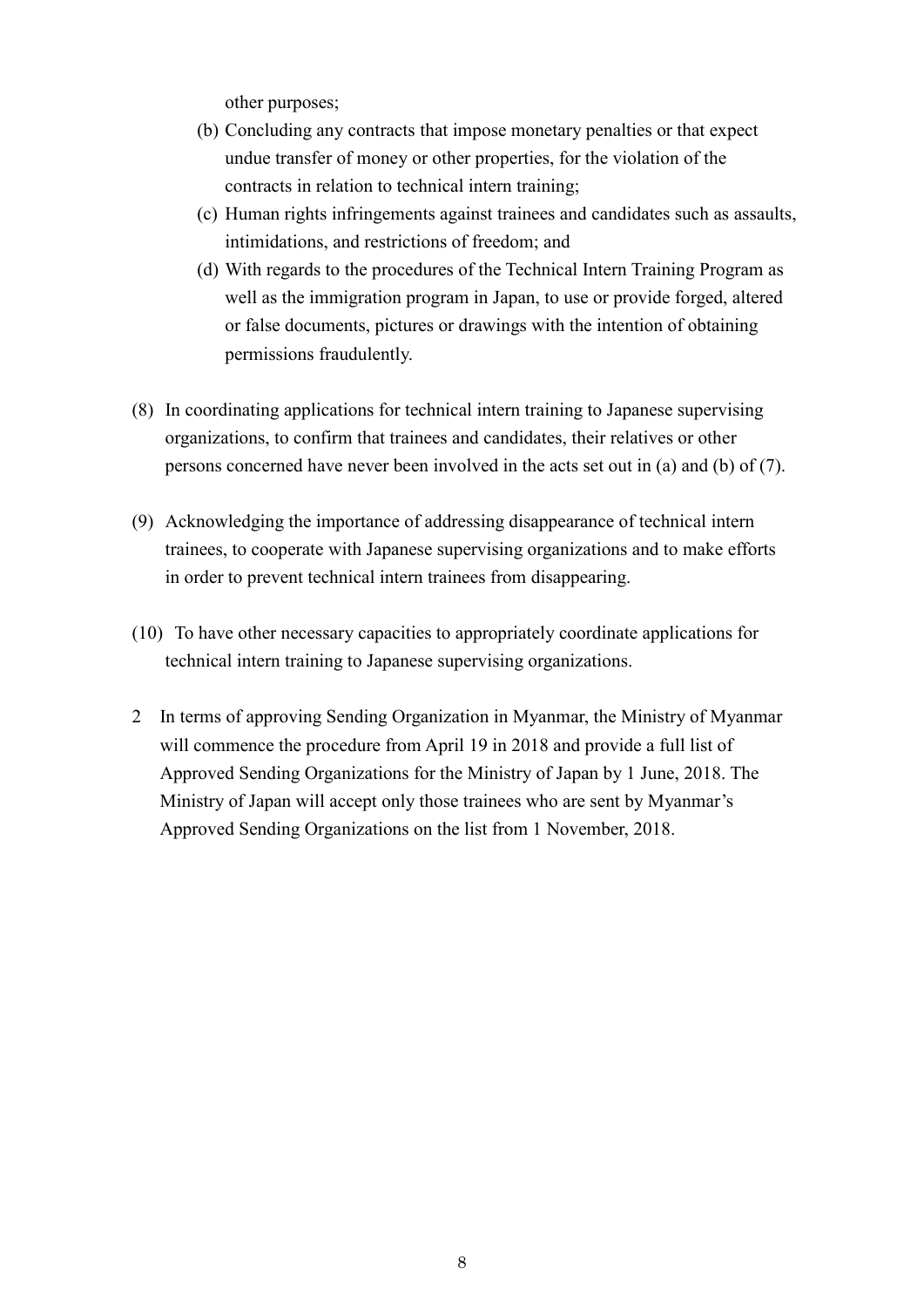other purposes;

- (b) Concluding any contracts that impose monetary penalties or that expect undue transfer of money or other properties, for the violation of the contracts in relation to technical intern training;
- (c) Human rights infringements against trainees and candidates such as assaults, intimidations, and restrictions of freedom; and
- (d) With regards to the procedures of the Technical Intern Training Program as well as the immigration program in Japan, to use or provide forged, altered or false documents, pictures or drawings with the intention of obtaining permissions fraudulently.
- (8) In coordinating applications for technical intern training to Japanese supervising organizations, to confirm that trainees and candidates, their relatives or other persons concerned have never been involved in the acts set out in (a) and (b) of (7).
- (9) Acknowledging the importance of addressing disappearance of technical intern trainees, to cooperate with Japanese supervising organizations and to make efforts in order to prevent technical intern trainees from disappearing.
- (10) To have other necessary capacities to appropriately coordinate applications for technical intern training to Japanese supervising organizations.
- 2 In terms of approving Sending Organization in Myanmar, the Ministry of Myanmar will commence the procedure from April 19 in 2018 and provide a full list of Approved Sending Organizations for the Ministry of Japan by 1 June, 2018. The Ministry of Japan will accept only those trainees who are sent by Myanmar's Approved Sending Organizations on the list from 1 November, 2018.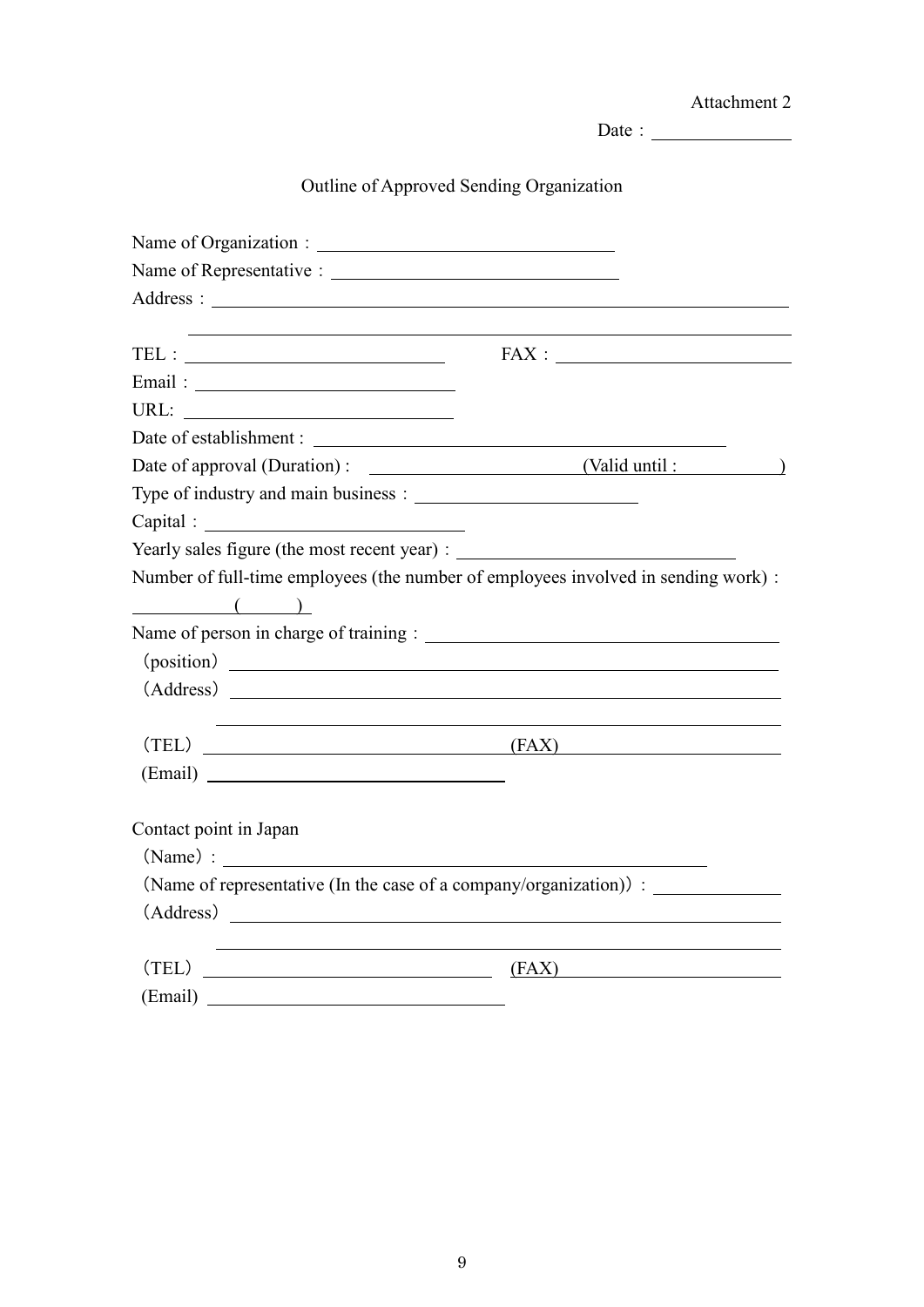|                                                                                                                                                                                                                                |                                                                                                                        | Attachment 2 |
|--------------------------------------------------------------------------------------------------------------------------------------------------------------------------------------------------------------------------------|------------------------------------------------------------------------------------------------------------------------|--------------|
|                                                                                                                                                                                                                                | Date : $\qquad \qquad$                                                                                                 |              |
| <b>Outline of Approved Sending Organization</b>                                                                                                                                                                                |                                                                                                                        |              |
|                                                                                                                                                                                                                                |                                                                                                                        |              |
|                                                                                                                                                                                                                                |                                                                                                                        |              |
|                                                                                                                                                                                                                                |                                                                                                                        |              |
| $TEL: ____________$                                                                                                                                                                                                            | <u> 1989 - Jan Salaman (b. 1989)</u>                                                                                   |              |
|                                                                                                                                                                                                                                |                                                                                                                        |              |
|                                                                                                                                                                                                                                |                                                                                                                        |              |
|                                                                                                                                                                                                                                |                                                                                                                        |              |
|                                                                                                                                                                                                                                |                                                                                                                        |              |
|                                                                                                                                                                                                                                |                                                                                                                        |              |
| Capital : The Capital Service of the Capital Service of the Capital Service of the Capital Service of the Capital Service of the Capital Service of the Capital Service of the Capital Service of the Capital Service of the C |                                                                                                                        |              |
| Yearly sales figure (the most recent year) :                                                                                                                                                                                   |                                                                                                                        |              |
| Number of full-time employees (the number of employees involved in sending work) :                                                                                                                                             |                                                                                                                        |              |
| $\begin{pmatrix} 1 & 1 \\ 1 & 1 \end{pmatrix}$                                                                                                                                                                                 |                                                                                                                        |              |
|                                                                                                                                                                                                                                |                                                                                                                        |              |
| (position)                                                                                                                                                                                                                     |                                                                                                                        |              |
|                                                                                                                                                                                                                                |                                                                                                                        |              |
|                                                                                                                                                                                                                                | <u> 1989 - Johann Stoff, deutscher Stoffen und der Stoffen und der Stoffen und der Stoffen und der Stoffen und der</u> |              |
| $(TEL)$ (FAX)                                                                                                                                                                                                                  |                                                                                                                        |              |
| (Email)                                                                                                                                                                                                                        |                                                                                                                        |              |
|                                                                                                                                                                                                                                |                                                                                                                        |              |
| Contact point in Japan                                                                                                                                                                                                         |                                                                                                                        |              |
|                                                                                                                                                                                                                                |                                                                                                                        |              |
| (Name of representative (In the case of a company/organization)):                                                                                                                                                              |                                                                                                                        |              |
| (Address)                                                                                                                                                                                                                      |                                                                                                                        |              |
|                                                                                                                                                                                                                                |                                                                                                                        |              |
| (TEL)                                                                                                                                                                                                                          | (FAX)                                                                                                                  |              |
| (Email)                                                                                                                                                                                                                        |                                                                                                                        |              |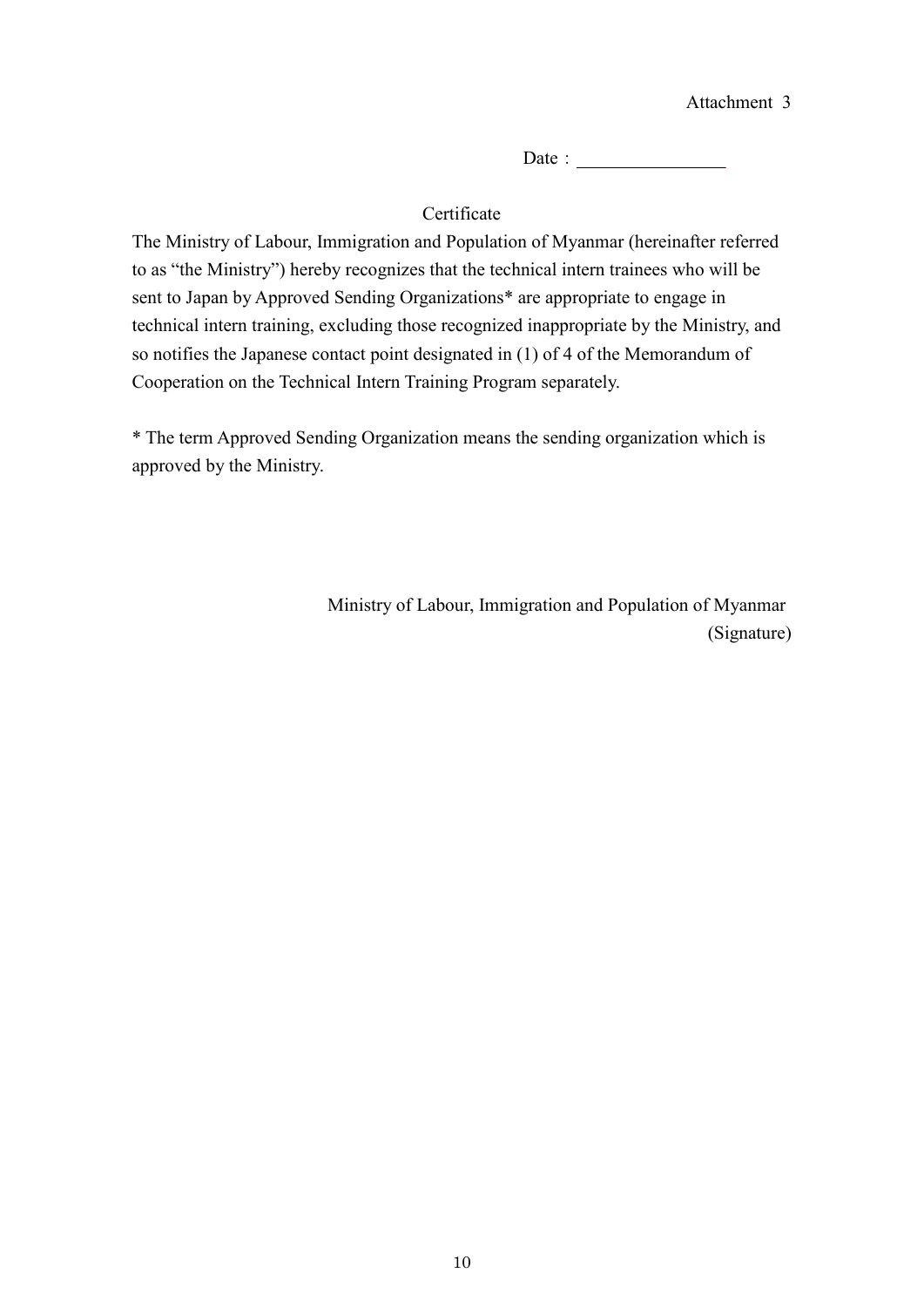Date:

# Certificate

The Ministry of Labour, Immigration and Population of Myanmar (hereinafter referred to as "the Ministry") hereby recognizes that the technical intern trainees who will be sent to Japan by Approved Sending Organizations\* are appropriate to engage in technical intern training, excluding those recognized inappropriate by the Ministry, and so notifies the Japanese contact point designated in (1) of 4 of the Memorandum of Cooperation on the Technical Intern Training Program separately.

\* The term Approved Sending Organization means the sending organization which is approved by the Ministry.

> Ministry of Labour, Immigration and Population of Myanmar (Signature)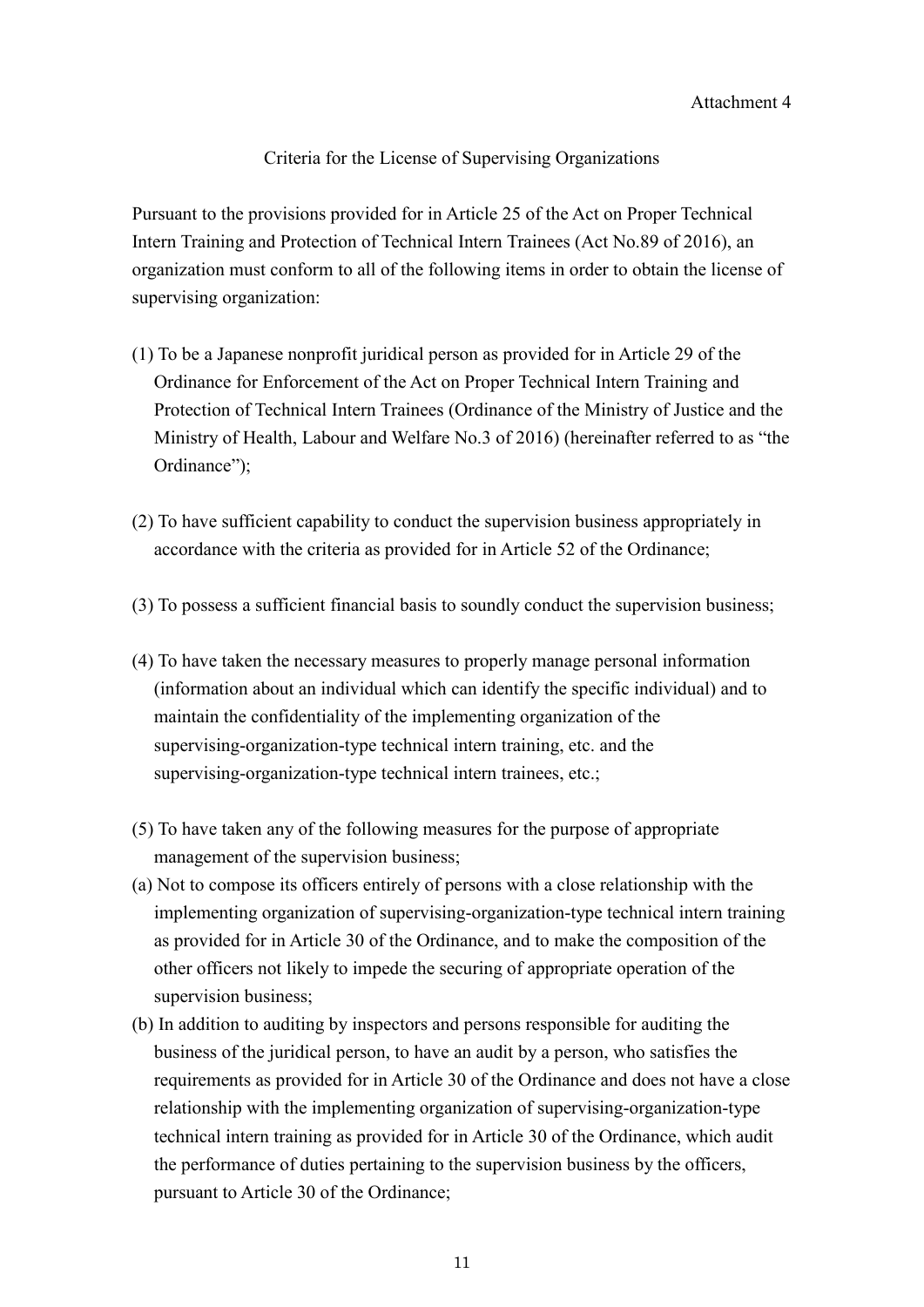Criteria for the License of Supervising Organizations

Pursuant to the provisions provided for in Article 25 of the Act on Proper Technical Intern Training and Protection of Technical Intern Trainees (Act No.89 of 2016), an organization must conform to all of the following items in order to obtain the license of supervising organization:

- (1) To be a Japanese nonprofit juridical person as provided for in Article 29 of the Ordinance for Enforcement of the Act on Proper Technical Intern Training and Protection of Technical Intern Trainees (Ordinance of the Ministry of Justice and the Ministry of Health, Labour and Welfare No.3 of 2016) (hereinafter referred to as "the Ordinance");
- (2) To have sufficient capability to conduct the supervision business appropriately in accordance with the criteria as provided for in Article 52 of the Ordinance;
- (3) To possess a sufficient financial basis to soundly conduct the supervision business;
- (4) To have taken the necessary measures to properly manage personal information (information about an individual which can identify the specific individual) and to maintain the confidentiality of the implementing organization of the supervising-organization-type technical intern training, etc. and the supervising-organization-type technical intern trainees, etc.;
- (5) To have taken any of the following measures for the purpose of appropriate management of the supervision business;
- (a) Not to compose its officers entirely of persons with a close relationship with the implementing organization of supervising-organization-type technical intern training as provided for in Article 30 of the Ordinance, and to make the composition of the other officers not likely to impede the securing of appropriate operation of the supervision business;
- (b) In addition to auditing by inspectors and persons responsible for auditing the business of the juridical person, to have an audit by a person, who satisfies the requirements as provided for in Article 30 of the Ordinance and does not have a close relationship with the implementing organization of supervising-organization-type technical intern training as provided for in Article 30 of the Ordinance, which audit the performance of duties pertaining to the supervision business by the officers, pursuant to Article 30 of the Ordinance;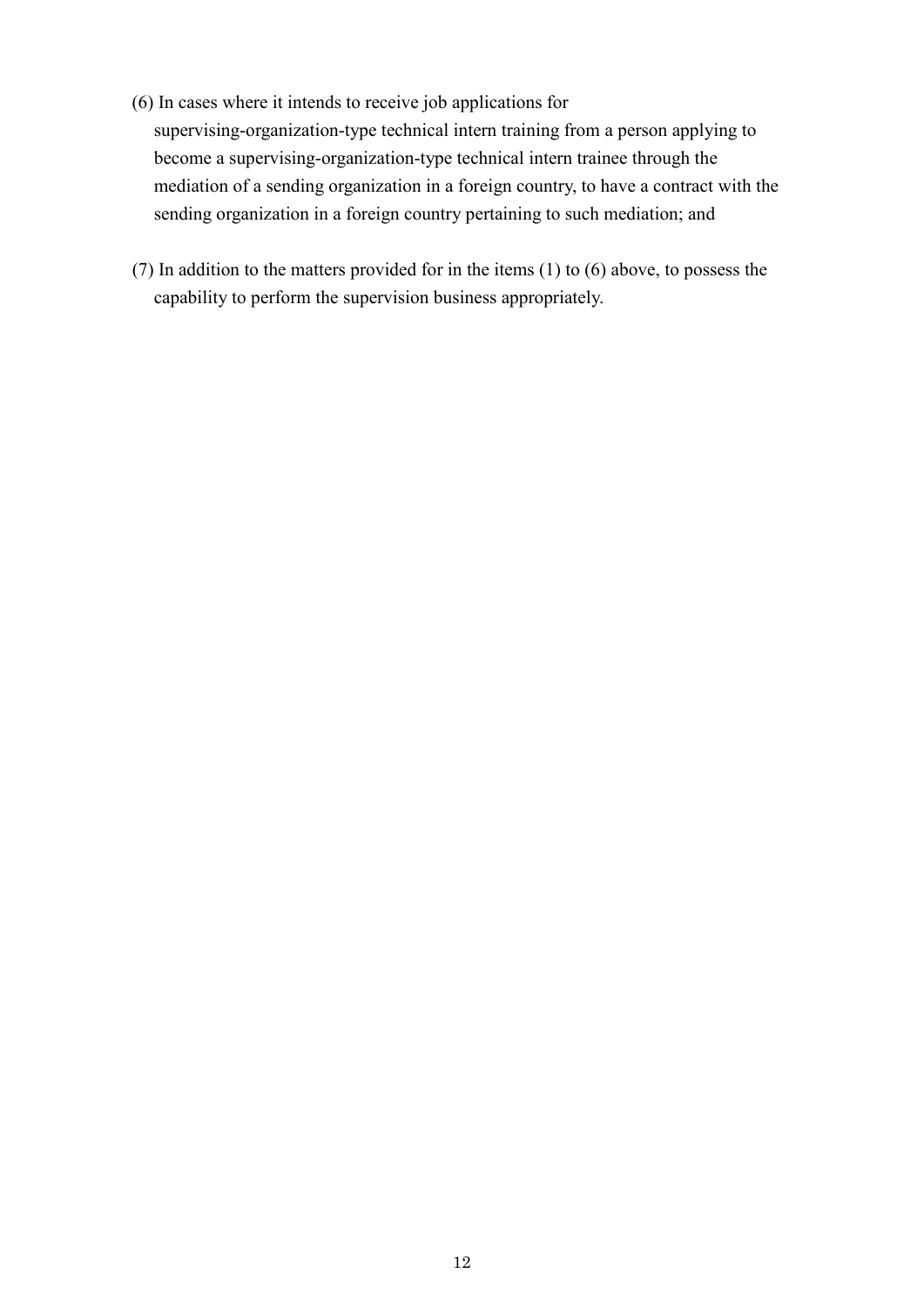- (6) In cases where it intends to receive job applications for supervising-organization-type technical intern training from a person applying to become a supervising-organization-type technical intern trainee through the mediation of a sending organization in a foreign country, to have a contract with the sending organization in a foreign country pertaining to such mediation; and
- (7) In addition to the matters provided for in the items (1) to (6) above, to possess the capability to perform the supervision business appropriately.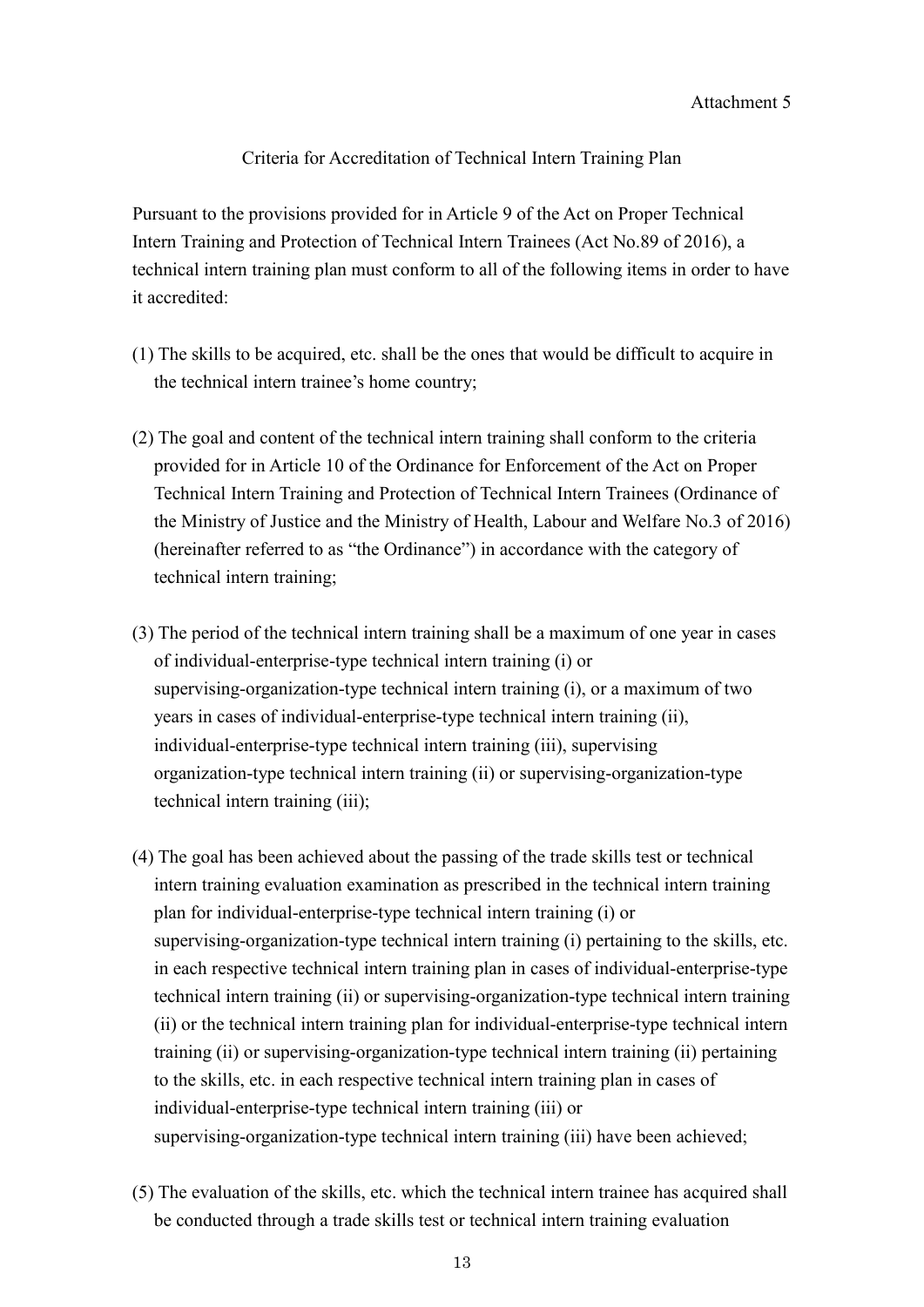### Criteria for Accreditation of Technical Intern Training Plan

Pursuant to the provisions provided for in Article 9 of the Act on Proper Technical Intern Training and Protection of Technical Intern Trainees (Act No.89 of 2016), a technical intern training plan must conform to all of the following items in order to have it accredited:

- (1) The skills to be acquired, etc. shall be the ones that would be difficult to acquire in the technical intern trainee's home country;
- (2) The goal and content of the technical intern training shall conform to the criteria provided for in Article 10 of the Ordinance for Enforcement of the Act on Proper Technical Intern Training and Protection of Technical Intern Trainees (Ordinance of the Ministry of Justice and the Ministry of Health, Labour and Welfare No.3 of 2016) (hereinafter referred to as "the Ordinance") in accordance with the category of technical intern training;
- (3) The period of the technical intern training shall be a maximum of one year in cases of individual-enterprise-type technical intern training (i) or supervising-organization-type technical intern training (i), or a maximum of two years in cases of individual-enterprise-type technical intern training (ii), individual-enterprise-type technical intern training (iii), supervising organization-type technical intern training (ii) or supervising-organization-type technical intern training (iii);
- (4) The goal has been achieved about the passing of the trade skills test or technical intern training evaluation examination as prescribed in the technical intern training plan for individual-enterprise-type technical intern training (i) or supervising-organization-type technical intern training (i) pertaining to the skills, etc. in each respective technical intern training plan in cases of individual-enterprise-type technical intern training (ii) or supervising-organization-type technical intern training (ii) or the technical intern training plan for individual-enterprise-type technical intern training (ii) or supervising-organization-type technical intern training (ii) pertaining to the skills, etc. in each respective technical intern training plan in cases of individual-enterprise-type technical intern training (iii) or supervising-organization-type technical intern training (iii) have been achieved;
- (5) The evaluation of the skills, etc. which the technical intern trainee has acquired shall be conducted through a trade skills test or technical intern training evaluation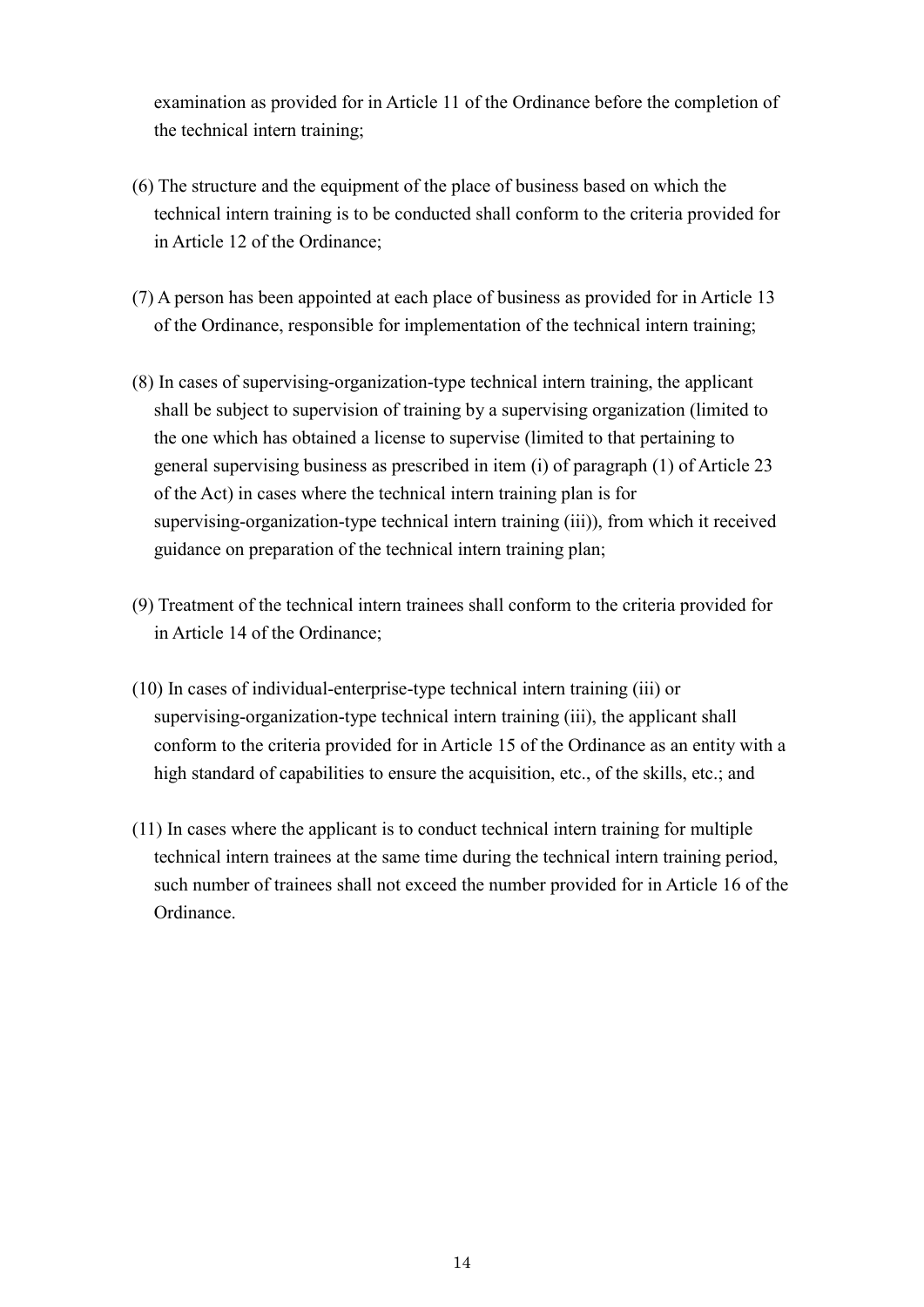examination as provided for in Article 11 of the Ordinance before the completion of the technical intern training;

- (6) The structure and the equipment of the place of business based on which the technical intern training is to be conducted shall conform to the criteria provided for in Article 12 of the Ordinance;
- (7) A person has been appointed at each place of business as provided for in Article 13 of the Ordinance, responsible for implementation of the technical intern training;
- (8) In cases of supervising-organization-type technical intern training, the applicant shall be subject to supervision of training by a supervising organization (limited to the one which has obtained a license to supervise (limited to that pertaining to general supervising business as prescribed in item (i) of paragraph (1) of Article 23 of the Act) in cases where the technical intern training plan is for supervising-organization-type technical intern training (iii)), from which it received guidance on preparation of the technical intern training plan;
- (9) Treatment of the technical intern trainees shall conform to the criteria provided for in Article 14 of the Ordinance;
- (10) In cases of individual-enterprise-type technical intern training (iii) or supervising-organization-type technical intern training (iii), the applicant shall conform to the criteria provided for in Article 15 of the Ordinance as an entity with a high standard of capabilities to ensure the acquisition, etc., of the skills, etc.; and
- (11) In cases where the applicant is to conduct technical intern training for multiple technical intern trainees at the same time during the technical intern training period, such number of trainees shall not exceed the number provided for in Article 16 of the Ordinance.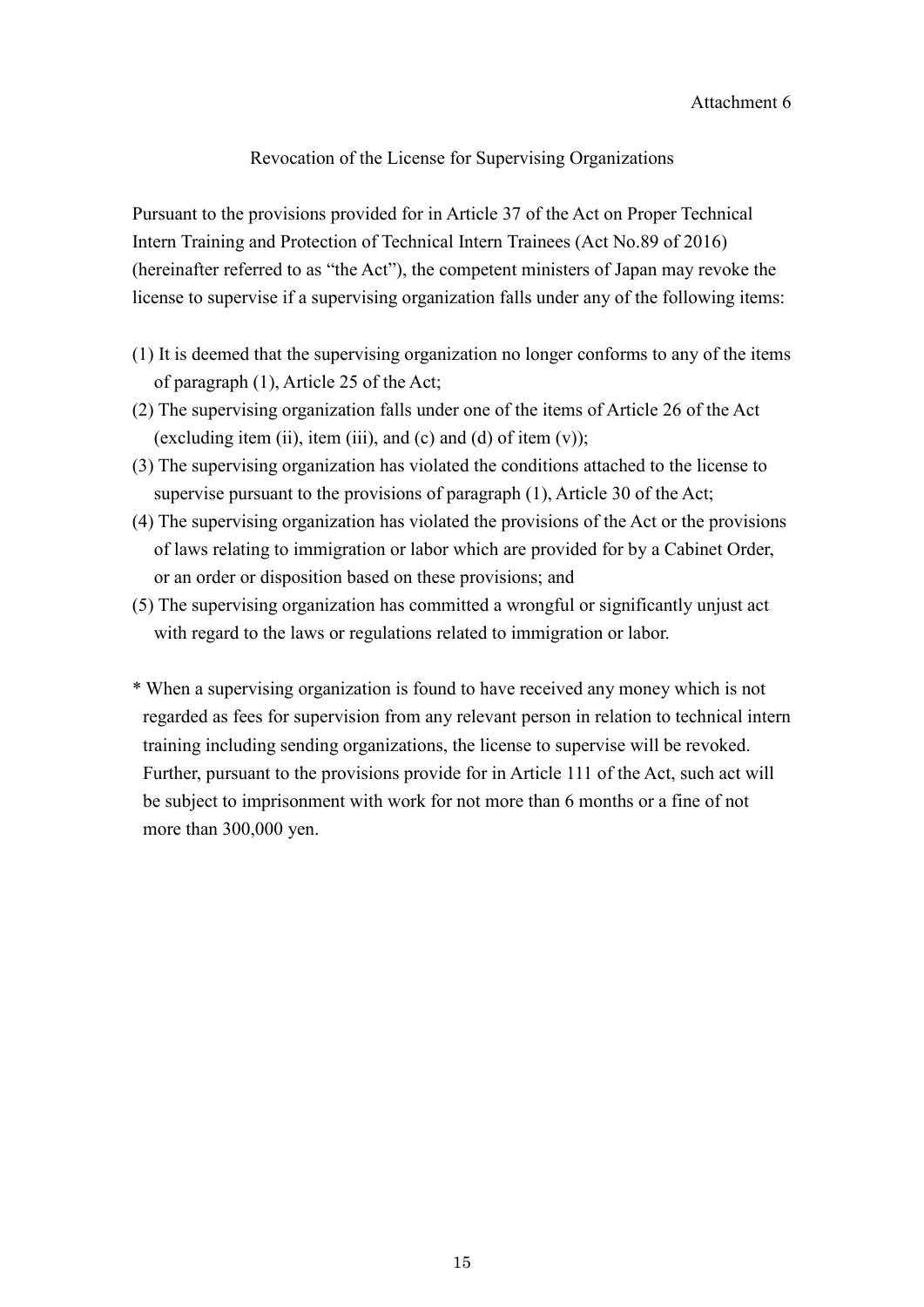### Revocation of the License for Supervising Organizations

Pursuant to the provisions provided for in Article 37 of the Act on Proper Technical Intern Training and Protection of Technical Intern Trainees (Act No.89 of 2016) (hereinafter referred to as "the Act"), the competent ministers of Japan may revoke the license to supervise if a supervising organization falls under any of the following items:

- (1) It is deemed that the supervising organization no longer conforms to any of the items of paragraph (1), Article 25 of the Act;
- (2) The supervising organization falls under one of the items of Article 26 of the Act (excluding item (ii), item (iii), and (c) and (d) of item  $(v)$ );
- (3) The supervising organization has violated the conditions attached to the license to supervise pursuant to the provisions of paragraph (1), Article 30 of the Act;
- (4) The supervising organization has violated the provisions of the Act or the provisions of laws relating to immigration or labor which are provided for by a Cabinet Order, or an order or disposition based on these provisions; and
- (5) The supervising organization has committed a wrongful or significantly unjust act with regard to the laws or regulations related to immigration or labor.
- \* When a supervising organization is found to have received any money which is not regarded as fees for supervision from any relevant person in relation to technical intern training including sending organizations, the license to supervise will be revoked. Further, pursuant to the provisions provide for in Article 111 of the Act, such act will be subject to imprisonment with work for not more than 6 months or a fine of not more than 300,000 yen.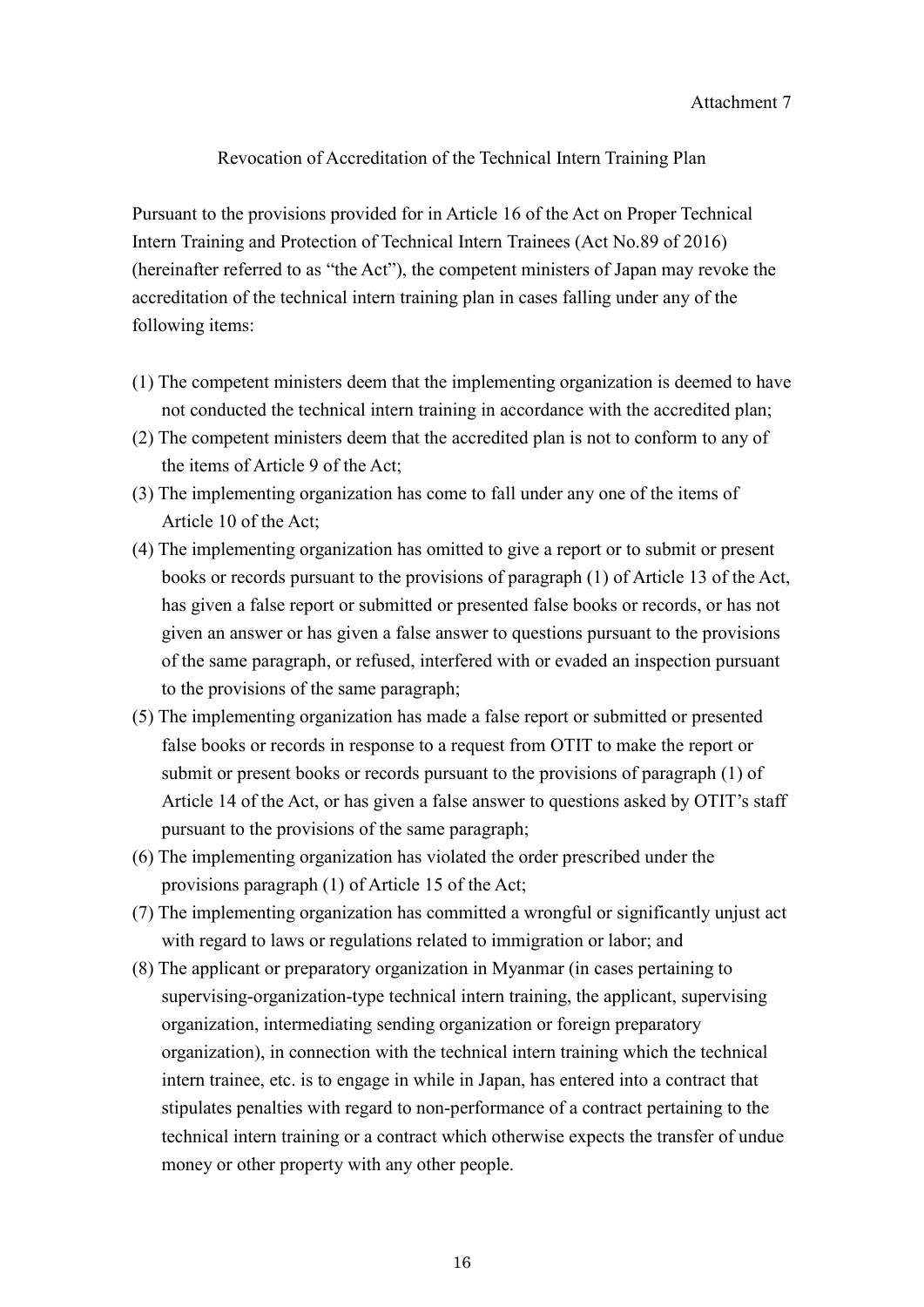#### Revocation of Accreditation of the Technical Intern Training Plan

Pursuant to the provisions provided for in Article 16 of the Act on Proper Technical Intern Training and Protection of Technical Intern Trainees (Act No.89 of 2016) (hereinafter referred to as "the Act"), the competent ministers of Japan may revoke the accreditation of the technical intern training plan in cases falling under any of the following items:

- (1) The competent ministers deem that the implementing organization is deemed to have not conducted the technical intern training in accordance with the accredited plan;
- (2) The competent ministers deem that the accredited plan is not to conform to any of the items of Article 9 of the Act;
- (3) The implementing organization has come to fall under any one of the items of Article 10 of the Act;
- (4) The implementing organization has omitted to give a report or to submit or present books or records pursuant to the provisions of paragraph (1) of Article 13 of the Act, has given a false report or submitted or presented false books or records, or has not given an answer or has given a false answer to questions pursuant to the provisions of the same paragraph, or refused, interfered with or evaded an inspection pursuant to the provisions of the same paragraph;
- (5) The implementing organization has made a false report or submitted or presented false books or records in response to a request from OTIT to make the report or submit or present books or records pursuant to the provisions of paragraph (1) of Article 14 of the Act, or has given a false answer to questions asked by OTIT's staff pursuant to the provisions of the same paragraph;
- (6) The implementing organization has violated the order prescribed under the provisions paragraph (1) of Article 15 of the Act;
- (7) The implementing organization has committed a wrongful or significantly unjust act with regard to laws or regulations related to immigration or labor; and
- (8) The applicant or preparatory organization in Myanmar (in cases pertaining to supervising-organization-type technical intern training, the applicant, supervising organization, intermediating sending organization or foreign preparatory organization), in connection with the technical intern training which the technical intern trainee, etc. is to engage in while in Japan, has entered into a contract that stipulates penalties with regard to non-performance of a contract pertaining to the technical intern training or a contract which otherwise expects the transfer of undue money or other property with any other people.